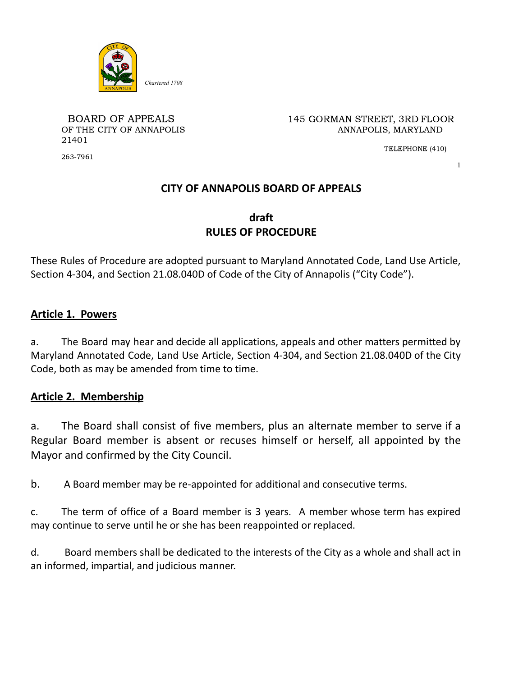

21401

BOARD OF APPEALS 145 GORMAN STREET, 3RD FLOOR OF THE CITY OF ANNAPOLIS **ANNAPOLIS** ANNAPOLIS, MARYLAND

TELEPHONE (410)

1

# **CITY OF ANNAPOLIS BOARD OF APPEALS**

# **draft RULES OF PROCEDURE**

These Rules of Procedure are adopted pursuant to Maryland Annotated Code, Land Use Article, Section 4-304, and Section 21.08.040D of Code of the City of Annapolis ("City Code").

### **Article 1. Powers**

a. The Board may hear and decide all applications, appeals and other matters permitted by Maryland Annotated Code, Land Use Article, Section 4-304, and Section 21.08.040D of the City Code, both as may be amended from time to time.

### **Article 2. Membership**

a. The Board shall consist of five members, plus an alternate member to serve if a Regular Board member is absent or recuses himself or herself, all appointed by the Mayor and confirmed by the City Council.

b. A Board member may be re-appointed for additional and consecutive terms.

c. The term of office of a Board member is 3 years. A member whose term has expired may continue to serve until he or she has been reappointed or replaced.

d. Board members shall be dedicated to the interests of the City as a whole and shall act in an informed, impartial, and judicious manner.

263-7961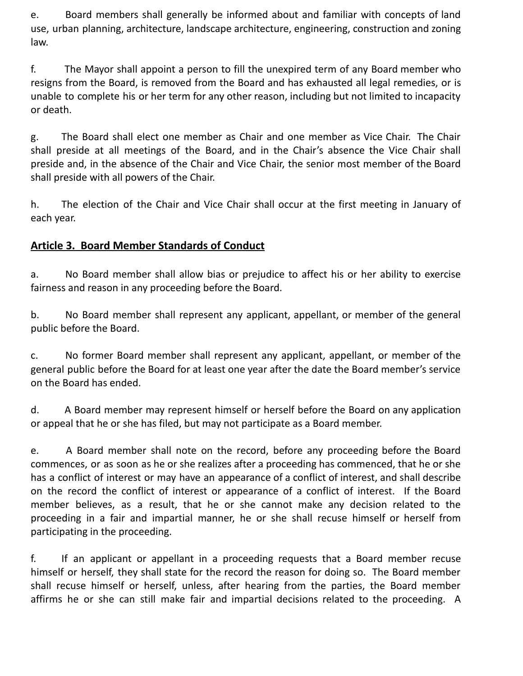e. Board members shall generally be informed about and familiar with concepts of land use, urban planning, architecture, landscape architecture, engineering, construction and zoning law.

f. The Mayor shall appoint a person to fill the unexpired term of any Board member who resigns from the Board, is removed from the Board and has exhausted all legal remedies, or is unable to complete his or her term for any other reason, including but not limited to incapacity or death.

g. The Board shall elect one member as Chair and one member as Vice Chair. The Chair shall preside at all meetings of the Board, and in the Chair's absence the Vice Chair shall preside and, in the absence of the Chair and Vice Chair, the senior most member of the Board shall preside with all powers of the Chair.

h. The election of the Chair and Vice Chair shall occur at the first meeting in January of each year.

# **Article 3. Board Member Standards of Conduct**

a. No Board member shall allow bias or prejudice to affect his or her ability to exercise fairness and reason in any proceeding before the Board.

b. No Board member shall represent any applicant, appellant, or member of the general public before the Board.

c. No former Board member shall represent any applicant, appellant, or member of the general public before the Board for at least one year after the date the Board member's service on the Board has ended.

d. A Board member may represent himself or herself before the Board on any application or appeal that he or she has filed, but may not participate as a Board member.

e. A Board member shall note on the record, before any proceeding before the Board commences, or as soon as he or she realizes after a proceeding has commenced, that he or she has a conflict of interest or may have an appearance of a conflict of interest, and shall describe on the record the conflict of interest or appearance of a conflict of interest. If the Board member believes, as a result, that he or she cannot make any decision related to the proceeding in a fair and impartial manner, he or she shall recuse himself or herself from participating in the proceeding.

f. If an applicant or appellant in a proceeding requests that a Board member recuse himself or herself, they shall state for the record the reason for doing so. The Board member shall recuse himself or herself, unless, after hearing from the parties, the Board member affirms he or she can still make fair and impartial decisions related to the proceeding. A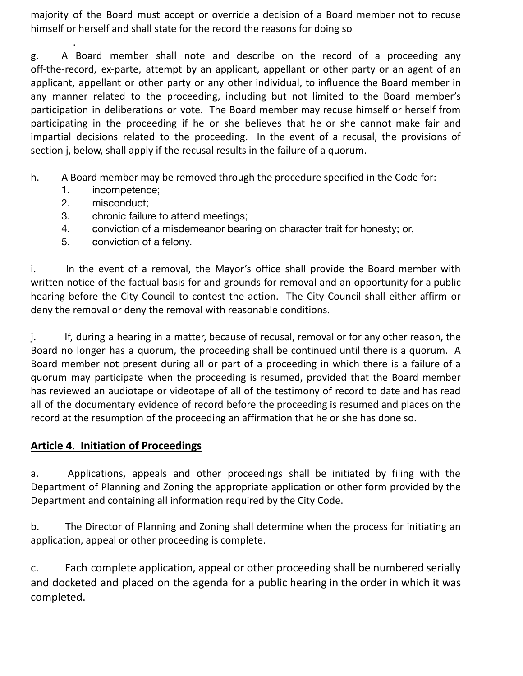majority of the Board must accept or override a decision of a Board member not to recuse himself or herself and shall state for the record the reasons for doing so

. g. A Board member shall note and describe on the record of a proceeding any off-the-record, ex-parte, attempt by an applicant, appellant or other party or an agent of an applicant, appellant or other party or any other individual, to influence the Board member in any manner related to the proceeding, including but not limited to the Board member's participation in deliberations or vote. The Board member may recuse himself or herself from participating in the proceeding if he or she believes that he or she cannot make fair and impartial decisions related to the proceeding. In the event of a recusal, the provisions of section j, below, shall apply if the recusal results in the failure of a quorum.

- h. A Board member may be removed through the procedure specified in the Code for:
	- 1. incompetence;
	- 2. misconduct;
	- 3. chronic failure to attend meetings;
	- 4. conviction of a misdemeanor bearing on character trait for honesty; or,
	- 5. conviction of a felony.

i. In the event of a removal, the Mayor's office shall provide the Board member with written notice of the factual basis for and grounds for removal and an opportunity for a public hearing before the City Council to contest the action. The City Council shall either affirm or deny the removal or deny the removal with reasonable conditions.

j. If, during a hearing in a matter, because of recusal, removal or for any other reason, the Board no longer has a quorum, the proceeding shall be continued until there is a quorum. A Board member not present during all or part of a proceeding in which there is a failure of a quorum may participate when the proceeding is resumed, provided that the Board member has reviewed an audiotape or videotape of all of the testimony of record to date and has read all of the documentary evidence of record before the proceeding is resumed and places on the record at the resumption of the proceeding an affirmation that he or she has done so.

# **Article 4. Initiation of Proceedings**

a. Applications, appeals and other proceedings shall be initiated by filing with the Department of Planning and Zoning the appropriate application or other form provided by the Department and containing all information required by the City Code.

b. The Director of Planning and Zoning shall determine when the process for initiating an application, appeal or other proceeding is complete.

c. Each complete application, appeal or other proceeding shall be numbered serially and docketed and placed on the agenda for a public hearing in the order in which it was completed.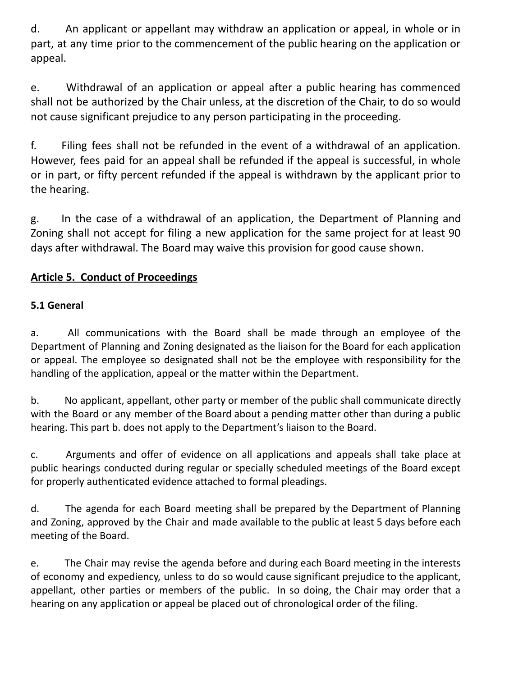d. An applicant or appellant may withdraw an application or appeal, in whole or in part, at any time prior to the commencement of the public hearing on the application or appeal.

e. Withdrawal of an application or appeal after a public hearing has commenced shall not be authorized by the Chair unless, at the discretion of the Chair, to do so would not cause significant prejudice to any person participating in the proceeding.

f. Filing fees shall not be refunded in the event of a withdrawal of an application. However, fees paid for an appeal shall be refunded if the appeal is successful, in whole or in part, or fifty percent refunded if the appeal is withdrawn by the applicant prior to the hearing.

g. In the case of a withdrawal of an application, the Department of Planning and Zoning shall not accept for filing a new application for the same project for at least 90 days after withdrawal. The Board may waive this provision for good cause shown.

# **Article 5. Conduct of Proceedings**

# **5.1 General**

a. All communications with the Board shall be made through an employee of the Department of Planning and Zoning designated as the liaison for the Board for each application or appeal. The employee so designated shall not be the employee with responsibility for the handling of the application, appeal or the matter within the Department.

b. No applicant, appellant, other party or member of the public shall communicate directly with the Board or any member of the Board about a pending matter other than during a public hearing. This part b. does not apply to the Department's liaison to the Board.

c. Arguments and offer of evidence on all applications and appeals shall take place at public hearings conducted during regular or specially scheduled meetings of the Board except for properly authenticated evidence attached to formal pleadings.

d. The agenda for each Board meeting shall be prepared by the Department of Planning and Zoning, approved by the Chair and made available to the public at least 5 days before each meeting of the Board.

e. The Chair may revise the agenda before and during each Board meeting in the interests of economy and expediency, unless to do so would cause significant prejudice to the applicant, appellant, other parties or members of the public. In so doing, the Chair may order that a hearing on any application or appeal be placed out of chronological order of the filing.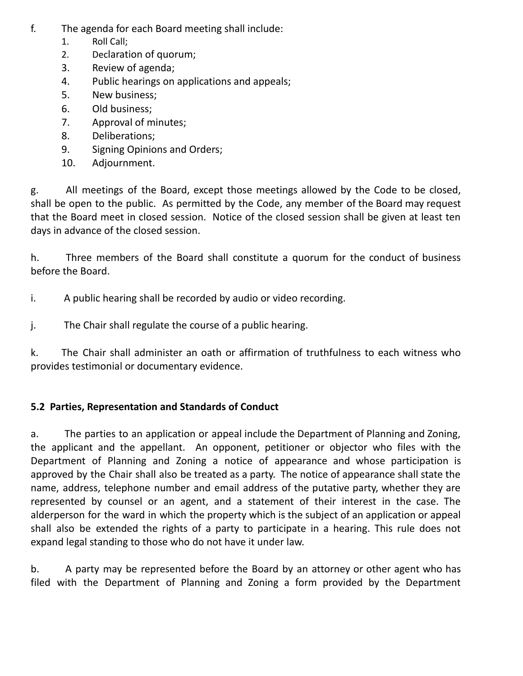- f. The agenda for each Board meeting shall include:
	- 1. Roll Call;
	- 2. Declaration of quorum;
	- 3. Review of agenda;
	- 4. Public hearings on applications and appeals;
	- 5. New business;
	- 6. Old business;
	- 7. Approval of minutes;
	- 8. Deliberations;
	- 9. Signing Opinions and Orders;
	- 10. Adjournment.

g. All meetings of the Board, except those meetings allowed by the Code to be closed, shall be open to the public. As permitted by the Code, any member of the Board may request that the Board meet in closed session. Notice of the closed session shall be given at least ten days in advance of the closed session.

h. Three members of the Board shall constitute a quorum for the conduct of business before the Board.

i. A public hearing shall be recorded by audio or video recording.

j. The Chair shall regulate the course of a public hearing.

k. The Chair shall administer an oath or affirmation of truthfulness to each witness who provides testimonial or documentary evidence.

# **5.2 Parties, Representation and Standards of Conduct**

a. The parties to an application or appeal include the Department of Planning and Zoning, the applicant and the appellant. An opponent, petitioner or objector who files with the Department of Planning and Zoning a notice of appearance and whose participation is approved by the Chair shall also be treated as a party. The notice of appearance shall state the name, address, telephone number and email address of the putative party, whether they are represented by counsel or an agent, and a statement of their interest in the case. The alderperson for the ward in which the property which is the subject of an application or appeal shall also be extended the rights of a party to participate in a hearing. This rule does not expand legal standing to those who do not have it under law.

b. A party may be represented before the Board by an attorney or other agent who has filed with the Department of Planning and Zoning a form provided by the Department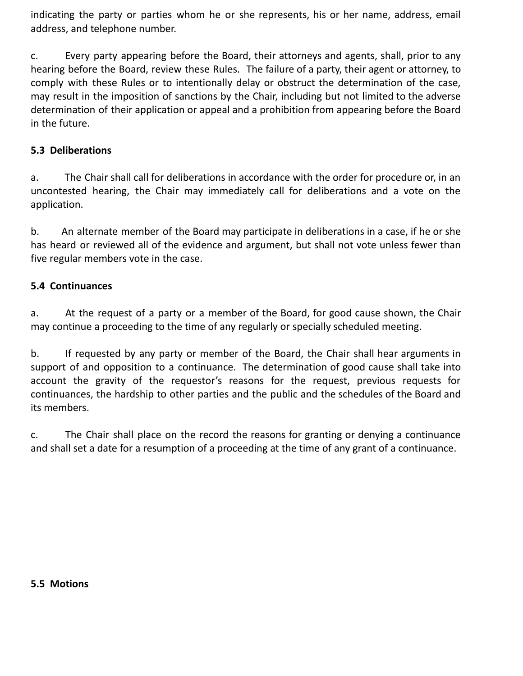indicating the party or parties whom he or she represents, his or her name, address, email address, and telephone number.

c. Every party appearing before the Board, their attorneys and agents, shall, prior to any hearing before the Board, review these Rules. The failure of a party, their agent or attorney, to comply with these Rules or to intentionally delay or obstruct the determination of the case, may result in the imposition of sanctions by the Chair, including but not limited to the adverse determination of their application or appeal and a prohibition from appearing before the Board in the future.

#### **5.3 Deliberations**

a. The Chair shall call for deliberations in accordance with the order for procedure or, in an uncontested hearing, the Chair may immediately call for deliberations and a vote on the application.

b. An alternate member of the Board may participate in deliberations in a case, if he or she has heard or reviewed all of the evidence and argument, but shall not vote unless fewer than five regular members vote in the case.

### **5.4 Continuances**

a. At the request of a party or a member of the Board, for good cause shown, the Chair may continue a proceeding to the time of any regularly or specially scheduled meeting.

b. If requested by any party or member of the Board, the Chair shall hear arguments in support of and opposition to a continuance. The determination of good cause shall take into account the gravity of the requestor's reasons for the request, previous requests for continuances, the hardship to other parties and the public and the schedules of the Board and its members.

c. The Chair shall place on the record the reasons for granting or denying a continuance and shall set a date for a resumption of a proceeding at the time of any grant of a continuance.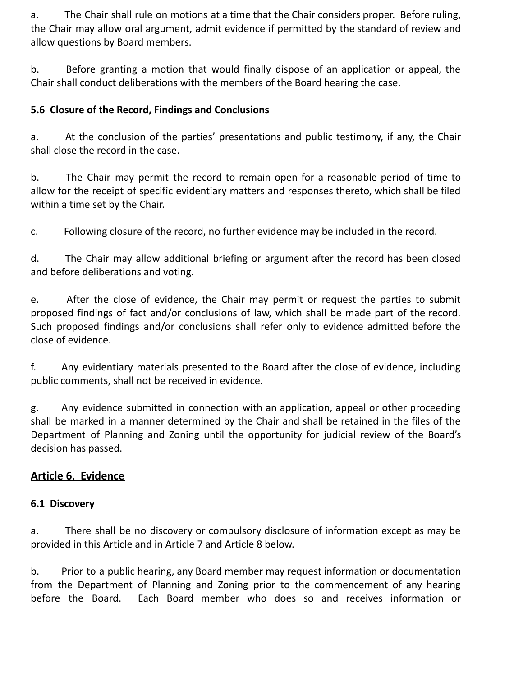a. The Chair shall rule on motions at a time that the Chair considers proper. Before ruling, the Chair may allow oral argument, admit evidence if permitted by the standard of review and allow questions by Board members.

b. Before granting a motion that would finally dispose of an application or appeal, the Chair shall conduct deliberations with the members of the Board hearing the case.

### **5.6 Closure of the Record, Findings and Conclusions**

a. At the conclusion of the parties' presentations and public testimony, if any, the Chair shall close the record in the case.

b. The Chair may permit the record to remain open for a reasonable period of time to allow for the receipt of specific evidentiary matters and responses thereto, which shall be filed within a time set by the Chair.

c. Following closure of the record, no further evidence may be included in the record.

d. The Chair may allow additional briefing or argument after the record has been closed and before deliberations and voting.

e. After the close of evidence, the Chair may permit or request the parties to submit proposed findings of fact and/or conclusions of law, which shall be made part of the record. Such proposed findings and/or conclusions shall refer only to evidence admitted before the close of evidence.

f. Any evidentiary materials presented to the Board after the close of evidence, including public comments, shall not be received in evidence.

g. Any evidence submitted in connection with an application, appeal or other proceeding shall be marked in a manner determined by the Chair and shall be retained in the files of the Department of Planning and Zoning until the opportunity for judicial review of the Board's decision has passed.

# **Article 6. Evidence**

### **6.1 Discovery**

a. There shall be no discovery or compulsory disclosure of information except as may be provided in this Article and in Article 7 and Article 8 below.

b. Prior to a public hearing, any Board member may request information or documentation from the Department of Planning and Zoning prior to the commencement of any hearing before the Board. Each Board member who does so and receives information or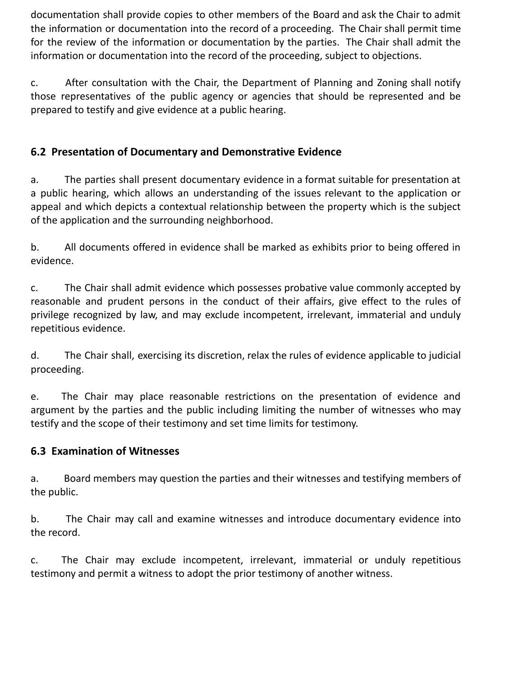documentation shall provide copies to other members of the Board and ask the Chair to admit the information or documentation into the record of a proceeding. The Chair shall permit time for the review of the information or documentation by the parties. The Chair shall admit the information or documentation into the record of the proceeding, subject to objections.

c. After consultation with the Chair, the Department of Planning and Zoning shall notify those representatives of the public agency or agencies that should be represented and be prepared to testify and give evidence at a public hearing.

# **6.2 Presentation of Documentary and Demonstrative Evidence**

a. The parties shall present documentary evidence in a format suitable for presentation at a public hearing, which allows an understanding of the issues relevant to the application or appeal and which depicts a contextual relationship between the property which is the subject of the application and the surrounding neighborhood.

b. All documents offered in evidence shall be marked as exhibits prior to being offered in evidence.

c. The Chair shall admit evidence which possesses probative value commonly accepted by reasonable and prudent persons in the conduct of their affairs, give effect to the rules of privilege recognized by law, and may exclude incompetent, irrelevant, immaterial and unduly repetitious evidence.

d. The Chair shall, exercising its discretion, relax the rules of evidence applicable to judicial proceeding.

e. The Chair may place reasonable restrictions on the presentation of evidence and argument by the parties and the public including limiting the number of witnesses who may testify and the scope of their testimony and set time limits for testimony.

# **6.3 Examination of Witnesses**

a. Board members may question the parties and their witnesses and testifying members of the public.

b. The Chair may call and examine witnesses and introduce documentary evidence into the record.

c. The Chair may exclude incompetent, irrelevant, immaterial or unduly repetitious testimony and permit a witness to adopt the prior testimony of another witness.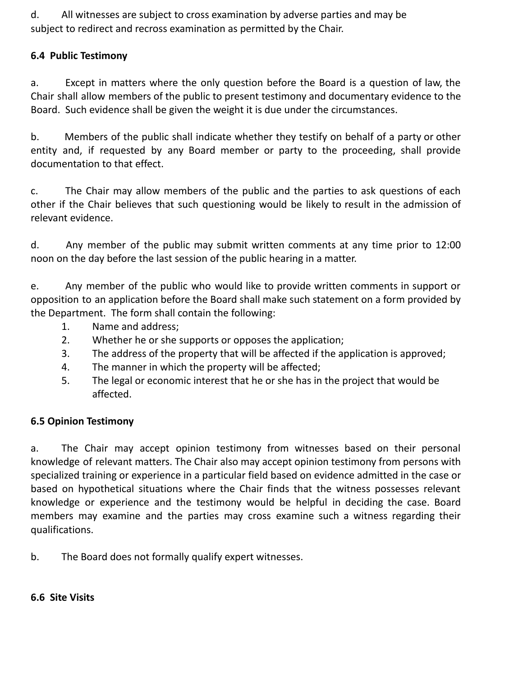d. All witnesses are subject to cross examination by adverse parties and may be subject to redirect and recross examination as permitted by the Chair.

### **6.4 Public Testimony**

a. Except in matters where the only question before the Board is a question of law, the Chair shall allow members of the public to present testimony and documentary evidence to the Board. Such evidence shall be given the weight it is due under the circumstances.

b. Members of the public shall indicate whether they testify on behalf of a party or other entity and, if requested by any Board member or party to the proceeding, shall provide documentation to that effect.

c. The Chair may allow members of the public and the parties to ask questions of each other if the Chair believes that such questioning would be likely to result in the admission of relevant evidence.

d. Any member of the public may submit written comments at any time prior to 12:00 noon on the day before the last session of the public hearing in a matter.

e. Any member of the public who would like to provide written comments in support or opposition to an application before the Board shall make such statement on a form provided by the Department. The form shall contain the following:

- 1. Name and address;
- 2. Whether he or she supports or opposes the application;
- 3. The address of the property that will be affected if the application is approved;
- 4. The manner in which the property will be affected;
- 5. The legal or economic interest that he or she has in the project that would be affected.

#### **6.5 Opinion Testimony**

a. The Chair may accept opinion testimony from witnesses based on their personal knowledge of relevant matters. The Chair also may accept opinion testimony from persons with specialized training or experience in a particular field based on evidence admitted in the case or based on hypothetical situations where the Chair finds that the witness possesses relevant knowledge or experience and the testimony would be helpful in deciding the case. Board members may examine and the parties may cross examine such a witness regarding their qualifications.

b. The Board does not formally qualify expert witnesses.

**6.6 Site Visits**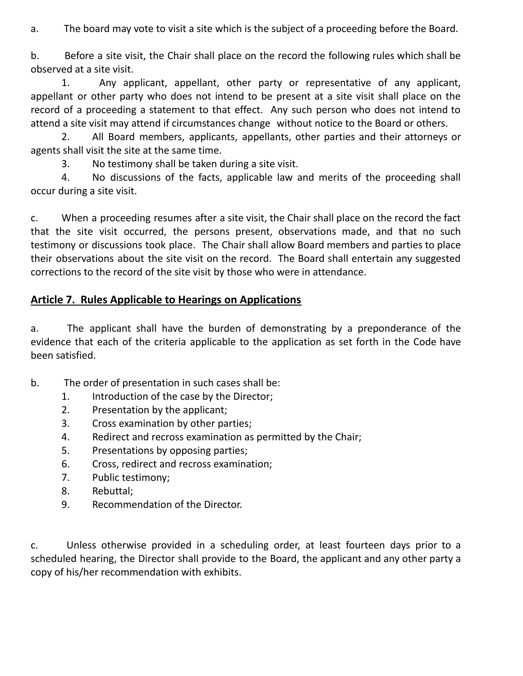a. The board may vote to visit a site which is the subject of a proceeding before the Board.

b. Before a site visit, the Chair shall place on the record the following rules which shall be observed at a site visit.

1. Any applicant, appellant, other party or representative of any applicant, appellant or other party who does not intend to be present at a site visit shall place on the record of a proceeding a statement to that effect. Any such person who does not intend to attend a site visit may attend if circumstances change without notice to the Board or others.

2. All Board members, applicants, appellants, other parties and their attorneys or agents shall visit the site at the same time.

3. No testimony shall be taken during a site visit.

4. No discussions of the facts, applicable law and merits of the proceeding shall occur during a site visit.

c. When a proceeding resumes after a site visit, the Chair shall place on the record the fact that the site visit occurred, the persons present, observations made, and that no such testimony or discussions took place. The Chair shall allow Board members and parties to place their observations about the site visit on the record. The Board shall entertain any suggested corrections to the record of the site visit by those who were in attendance.

## **Article 7. Rules Applicable to Hearings on Applications**

a. The applicant shall have the burden of demonstrating by a preponderance of the evidence that each of the criteria applicable to the application as set forth in the Code have been satisfied.

- b. The order of presentation in such cases shall be:
	- 1. Introduction of the case by the Director;
	- 2. Presentation by the applicant;
	- 3. Cross examination by other parties;
	- 4. Redirect and recross examination as permitted by the Chair;
	- 5. Presentations by opposing parties;
	- 6. Cross, redirect and recross examination;
	- 7. Public testimony;
	- 8. Rebuttal;
	- 9. Recommendation of the Director.

c. Unless otherwise provided in a scheduling order, at least fourteen days prior to a scheduled hearing, the Director shall provide to the Board, the applicant and any other party a copy of his/her recommendation with exhibits.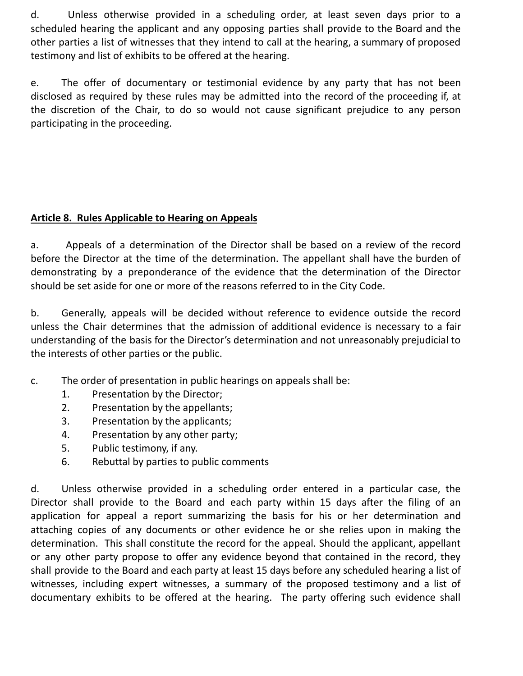d. Unless otherwise provided in a scheduling order, at least seven days prior to a scheduled hearing the applicant and any opposing parties shall provide to the Board and the other parties a list of witnesses that they intend to call at the hearing, a summary of proposed testimony and list of exhibits to be offered at the hearing.

e. The offer of documentary or testimonial evidence by any party that has not been disclosed as required by these rules may be admitted into the record of the proceeding if, at the discretion of the Chair, to do so would not cause significant prejudice to any person participating in the proceeding.

### **Article 8. Rules Applicable to Hearing on Appeals**

a. Appeals of a determination of the Director shall be based on a review of the record before the Director at the time of the determination. The appellant shall have the burden of demonstrating by a preponderance of the evidence that the determination of the Director should be set aside for one or more of the reasons referred to in the City Code.

b. Generally, appeals will be decided without reference to evidence outside the record unless the Chair determines that the admission of additional evidence is necessary to a fair understanding of the basis for the Director's determination and not unreasonably prejudicial to the interests of other parties or the public.

- c. The order of presentation in public hearings on appeals shall be:
	- 1. Presentation by the Director;
	- 2. Presentation by the appellants;
	- 3. Presentation by the applicants;
	- 4. Presentation by any other party;
	- 5. Public testimony, if any.
	- 6. Rebuttal by parties to public comments

d. Unless otherwise provided in a scheduling order entered in a particular case, the Director shall provide to the Board and each party within 15 days after the filing of an application for appeal a report summarizing the basis for his or her determination and attaching copies of any documents or other evidence he or she relies upon in making the determination. This shall constitute the record for the appeal. Should the applicant, appellant or any other party propose to offer any evidence beyond that contained in the record, they shall provide to the Board and each party at least 15 days before any scheduled hearing a list of witnesses, including expert witnesses, a summary of the proposed testimony and a list of documentary exhibits to be offered at the hearing. The party offering such evidence shall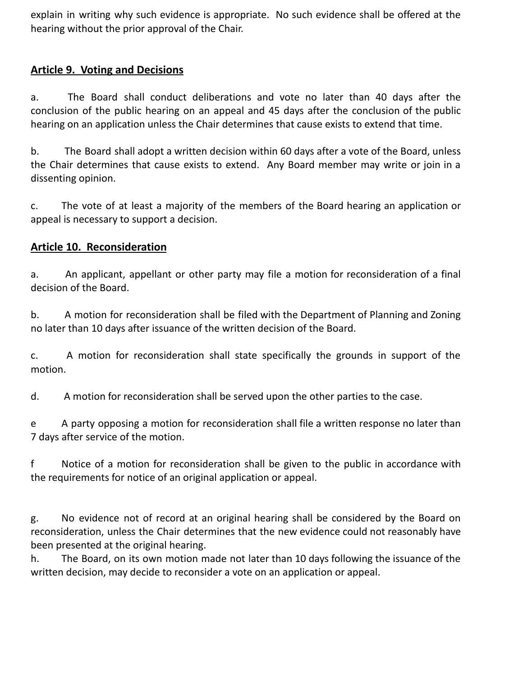explain in writing why such evidence is appropriate. No such evidence shall be offered at the hearing without the prior approval of the Chair.

### **Article 9. Voting and Decisions**

a. The Board shall conduct deliberations and vote no later than 40 days after the conclusion of the public hearing on an appeal and 45 days after the conclusion of the public hearing on an application unless the Chair determines that cause exists to extend that time.

b. The Board shall adopt a written decision within 60 days after a vote of the Board, unless the Chair determines that cause exists to extend. Any Board member may write or join in a dissenting opinion.

c. The vote of at least a majority of the members of the Board hearing an application or appeal is necessary to support a decision.

### **Article 10. Reconsideration**

a. An applicant, appellant or other party may file a motion for reconsideration of a final decision of the Board.

b. A motion for reconsideration shall be filed with the Department of Planning and Zoning no later than 10 days after issuance of the written decision of the Board.

c. A motion for reconsideration shall state specifically the grounds in support of the motion.

d. A motion for reconsideration shall be served upon the other parties to the case.

e A party opposing a motion for reconsideration shall file a written response no later than 7 days after service of the motion.

f Notice of a motion for reconsideration shall be given to the public in accordance with the requirements for notice of an original application or appeal.

g. No evidence not of record at an original hearing shall be considered by the Board on reconsideration, unless the Chair determines that the new evidence could not reasonably have been presented at the original hearing.

h. The Board, on its own motion made not later than 10 days following the issuance of the written decision, may decide to reconsider a vote on an application or appeal.